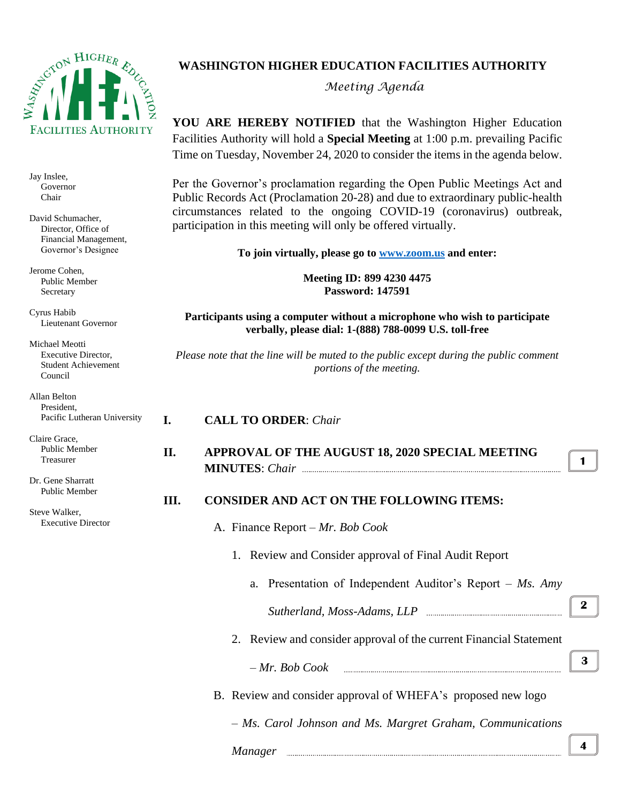

Jay Inslee, Governor Chair

David Schumacher, Director, Office of Financial Management, Governor's Designee

Jerome Cohen, Public Member Secretary

Cyrus Habib Lieutenant Governor

Michael Meotti Executive Director, Student Achievement Council

Allan Belton President, Pacific Lutheran University

Claire Grace, Public Member Treasurer

Dr. Gene Sharratt Public Member

Steve Walker, Executive Director

## **WASHINGTON HIGHER EDUCATION FACILITIES AUTHORITY**

*Meeting Agenda*

**YOU ARE HEREBY NOTIFIED** that the Washington Higher Education Facilities Authority will hold a **Special Meeting** at 1:00 p.m. prevailing Pacific Time on Tuesday, November 24, 2020 to consider the items in the agenda below.

Per the Governor's proclamation regarding the Open Public Meetings Act and Public Records Act (Proclamation 20-28) and due to extraordinary public-health circumstances related to the ongoing COVID-19 (coronavirus) outbreak, participation in this meeting will only be offered virtually.

**To join virtually, please go to [www.zoom.us](http://www.zoom.us/) and enter:**

**Meeting ID: 899 4230 4475 Password: 147591**

**Participants using a computer without a microphone who wish to participate verbally, please dial: 1-(888) 788-0099 U.S. toll-free**

*Please note that the line will be muted to the public except during the public comment portions of the meeting.*

#### **I. CALL TO ORDER**: *Chair*

**II. APPROVAL OF THE AUGUST 18, 2020 SPECIAL MEETING MINUTES**: *Chair*

### **III. CONSIDER AND ACT ON THE FOLLOWING ITEMS:**

- A. Finance Report *– Mr. Bob Cook*
	- 1. Review and Consider approval of Final Audit Report
		- a. Presentation of Independent Auditor's Report *Ms. Amy Sutherland, Moss-Adams, LLP*
	- 2. Review and consider approval of the current Financial Statement
		- *Mr. Bob Cook*
- B. Review and consider approval of WHEFA's proposed new logo

– *Ms. Carol Johnson and Ms. Margret Graham, Communications* 

### *Manager*

**4**

**3**

**2**

**1**